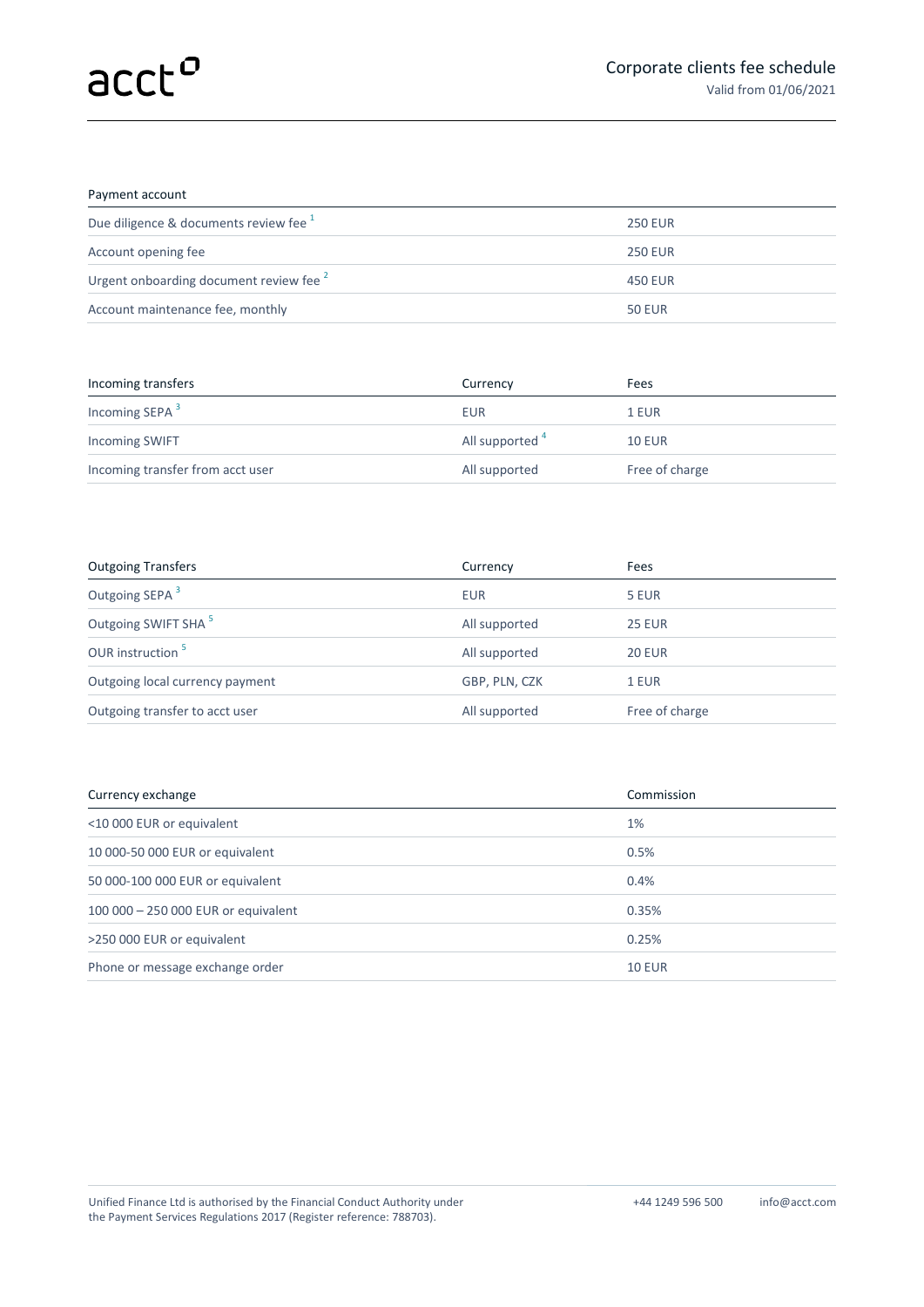## Payment account

| Due diligence & documents review fee <sup>1</sup>  | <b>250 EUR</b> |
|----------------------------------------------------|----------------|
| Account opening fee                                | <b>250 EUR</b> |
| Urgent onboarding document review fee <sup>2</sup> | 450 EUR        |
| Account maintenance fee, monthly                   | <b>50 EUR</b>  |
|                                                    |                |

| Incoming transfers               | Currency        | Fees           |
|----------------------------------|-----------------|----------------|
| Incoming SEPA <sup>3</sup>       | <b>EUR</b>      | 1 EUR          |
| <b>Incoming SWIFT</b>            | All supported 4 | <b>10 EUR</b>  |
| Incoming transfer from acct user | All supported   | Free of charge |

| <b>Outgoing Transfers</b>       | Currency      | Fees           |
|---------------------------------|---------------|----------------|
| Outgoing SEPA <sup>3</sup>      | <b>EUR</b>    | 5 EUR          |
| Outgoing SWIFT SHA <sup>5</sup> | All supported | <b>25 EUR</b>  |
| OUR instruction <sup>5</sup>    | All supported | <b>20 EUR</b>  |
| Outgoing local currency payment | GBP, PLN, CZK | 1 EUR          |
| Outgoing transfer to acct user  | All supported | Free of charge |

| Currency exchange                   | Commission    |
|-------------------------------------|---------------|
| <10 000 EUR or equivalent           | 1%            |
| 10 000-50 000 EUR or equivalent     | 0.5%          |
| 50 000-100 000 EUR or equivalent    | 0.4%          |
| 100 000 - 250 000 EUR or equivalent | 0.35%         |
| >250 000 EUR or equivalent          | 0.25%         |
| Phone or message exchange order     | <b>10 EUR</b> |